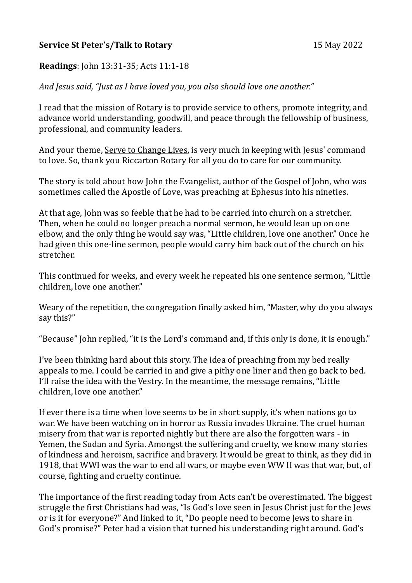## **Service St Peter's/Talk to Rotary** 15 May 2022

## **Readings**: John 13:31-35; Acts 11:1-18

*And Jesus said, "Just as I have loved you, you also should love one another."*

I read that the mission of Rotary is to provide service to others, promote integrity, and advance world understanding, goodwill, and peace through the fellowship of business, professional, and community leaders.

And your theme, Serve to Change Lives, is very much in keeping with Jesus' command to love. So, thank you Riccarton Rotary for all you do to care for our community.

The story is told about how John the Evangelist, author of the Gospel of John, who was sometimes called the Apostle of Love, was preaching at Ephesus into his nineties.

At that age, John was so feeble that he had to be carried into church on a stretcher. Then, when he could no longer preach a normal sermon, he would lean up on one elbow, and the only thing he would say was, "Little children, love one another." Once he had given this one-line sermon, people would carry him back out of the church on his stretcher.

This continued for weeks, and every week he repeated his one sentence sermon, "Little children, love one another."

Weary of the repetition, the congregation finally asked him, "Master, why do you always say this?"

"Because" John replied, "it is the Lord's command and, if this only is done, it is enough."

I've been thinking hard about this story. The idea of preaching from my bed really appeals to me. I could be carried in and give a pithy one liner and then go back to bed. I'll raise the idea with the Vestry. In the meantime, the message remains, "Little children, love one another."

If ever there is a time when love seems to be in short supply, it's when nations go to war. We have been watching on in horror as Russia invades Ukraine. The cruel human misery from that war is reported nightly but there are also the forgotten wars - in Yemen, the Sudan and Syria. Amongst the suffering and cruelty, we know many stories of kindness and heroism, sacrifice and bravery. It would be great to think, as they did in 1918, that WWI was the war to end all wars, or maybe even WW II was that war, but, of course, fighting and cruelty continue.

The importance of the first reading today from Acts can't be overestimated. The biggest struggle the first Christians had was, "Is God's love seen in Jesus Christ just for the Jews or is it for everyone?" And linked to it, "Do people need to become Jews to share in God's promise?" Peter had a vision that turned his understanding right around. God's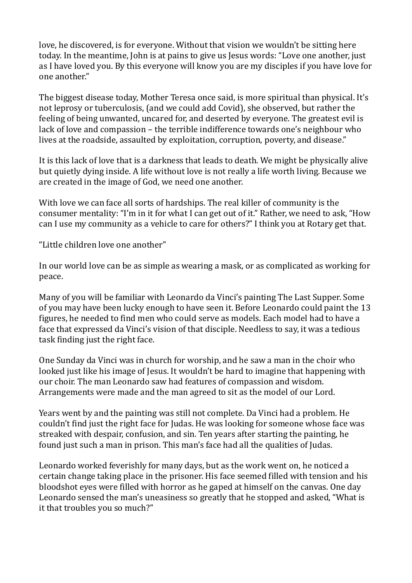love, he discovered, is for everyone. Without that vision we wouldn't be sitting here today. In the meantime, John is at pains to give us Jesus words: "Love one another, just as I have loved you. By this everyone will know you are my disciples if you have love for one another."

The biggest disease today, Mother Teresa once said, is more spiritual than physical. It's not leprosy or tuberculosis, (and we could add Covid), she observed, but rather the feeling of being unwanted, uncared for, and deserted by everyone. The greatest evil is lack of love and compassion – the terrible indifference towards one's neighbour who lives at the roadside, assaulted by exploitation, corruption, poverty, and disease."

It is this lack of love that is a darkness that leads to death. We might be physically alive but quietly dying inside. A life without love is not really a life worth living. Because we are created in the image of God, we need one another.

With love we can face all sorts of hardships. The real killer of community is the consumer mentality: "I'm in it for what I can get out of it." Rather, we need to ask, "How can I use my community as a vehicle to care for others?" I think you at Rotary get that.

"Little children love one another"

In our world love can be as simple as wearing a mask, or as complicated as working for peace.

Many of you will be familiar with Leonardo da Vinci's painting The Last Supper. Some of you may have been lucky enough to have seen it. Before Leonardo could paint the 13 figures, he needed to find men who could serve as models. Each model had to have a face that expressed da Vinci's vision of that disciple. Needless to say, it was a tedious task finding just the right face.

One Sunday da Vinci was in church for worship, and he saw a man in the choir who looked just like his image of Jesus. It wouldn't be hard to imagine that happening with our choir. The man Leonardo saw had features of compassion and wisdom. Arrangements were made and the man agreed to sit as the model of our Lord.

Years went by and the painting was still not complete. Da Vinci had a problem. He couldn't find just the right face for Judas. He was looking for someone whose face was streaked with despair, confusion, and sin. Ten years after starting the painting, he found just such a man in prison. This man's face had all the qualities of Judas.

Leonardo worked feverishly for many days, but as the work went on, he noticed a certain change taking place in the prisoner. His face seemed filled with tension and his bloodshot eyes were filled with horror as he gaped at himself on the canvas. One day Leonardo sensed the man's uneasiness so greatly that he stopped and asked, "What is it that troubles you so much?"